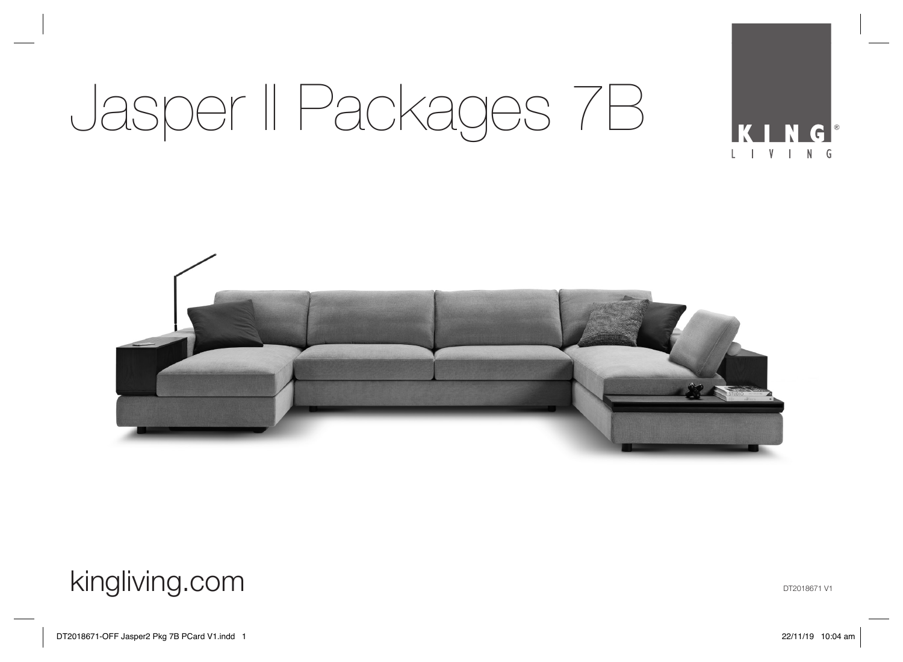

#### kingliving.com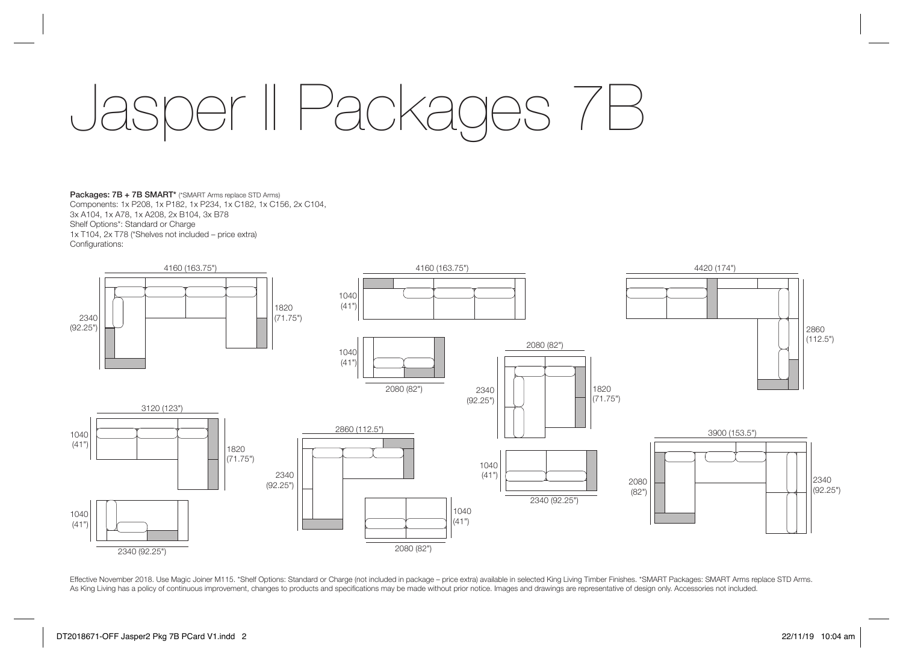Packages: 7B + 7B SMART\* (\*SMART Arms replace STD Arms) Components: 1x P208, 1x P182, 1x P234, 1x C182, 1x C156, 2x C104, 3x A104, 1x A78, 1x A208, 2x B104, 3x B78 Shelf Options\*: Standard or Charge 1x T104, 2x T78 (\*Shelves not included – price extra) Configurations:



Effective November 2018. Use Magic Joiner M115. \*Shelf Options: Standard or Charge (not included in package – price extra) available in selected King Living Timber Finishes. \*SMART Packages: SMART Arms replace STD Arms. As King Living has a policy of continuous improvement, changes to products and specifications may be made without prior notice. Images and drawings are representative of design only. Accessories not included.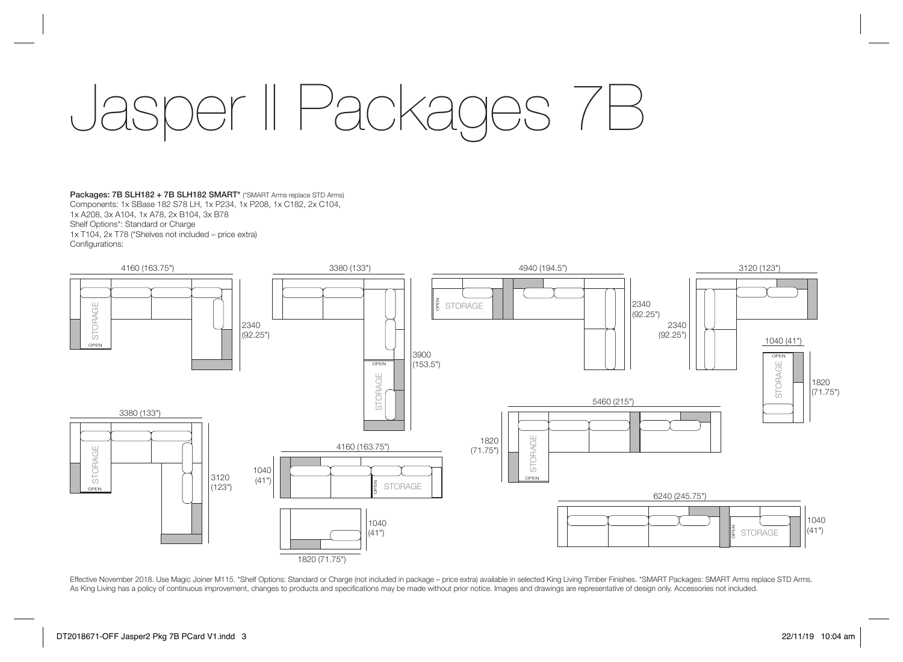Packages: 7B SLH182 + 7B SLH182 SMART\* (\*SMART Arms replace STD Arms) Components: 1x SBase 182 S78 LH, 1x P234, 1x P208, 1x C182, 2x C104, 1x A208, 3x A104, 1x A78, 2x B104, 3x B78 Shelf Options\*: Standard or Charge 1x T104, 2x T78 (\*Shelves not included – price extra) Configurations:



Effective November 2018. Use Magic Joiner M115. \*Shelf Options: Standard or Charge (not included in package – price extra) available in selected King Living Timber Finishes. \*SMART Packages: SMART Arms replace STD Arms. As King Living has a policy of continuous improvement, changes to products and specifications may be made without prior notice. Images and drawings are representative of design only. Accessories not included.